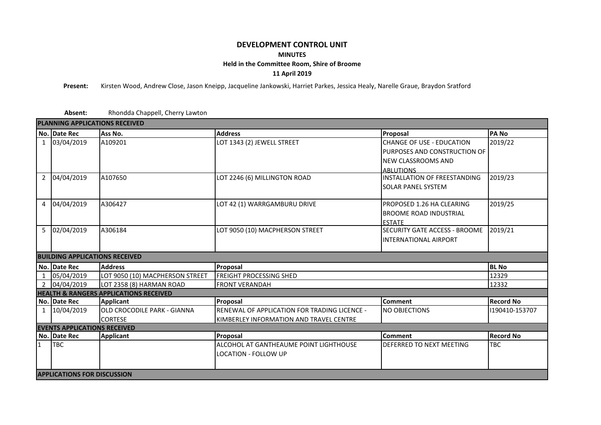## **DEVELOPMENT CONTROL UNIT MINUTES Held in the Committee Room, Shire of Broome 11 April 2019**

**Present:** Kirsten Wood, Andrew Close, Jason Kneipp, Jacqueline Jankowski, Harriet Parkes, Jessica Healy, Narelle Graue, Braydon Sratford

**Absent:** Rhondda Chappell, Cherry Lawton

| <b>PLANNING APPLICATIONS RECEIVED</b> |                                                   |                                    |                                              |                                  |                  |  |  |  |  |
|---------------------------------------|---------------------------------------------------|------------------------------------|----------------------------------------------|----------------------------------|------------------|--|--|--|--|
|                                       | No. Date Rec                                      | Ass No.                            | <b>Address</b>                               | Proposal                         | <b>PANO</b>      |  |  |  |  |
|                                       | 1 03/04/2019                                      | A109201                            | LOT 1343 (2) JEWELL STREET                   | <b>CHANGE OF USE - EDUCATION</b> | 2019/22          |  |  |  |  |
|                                       |                                                   |                                    |                                              | PURPOSES AND CONSTRUCTION OF     |                  |  |  |  |  |
|                                       |                                                   |                                    |                                              | <b>NEW CLASSROOMS AND</b>        |                  |  |  |  |  |
|                                       |                                                   |                                    |                                              | <b>ABILITIONS</b>                |                  |  |  |  |  |
| $\overline{2}$                        | 04/04/2019                                        | A107650                            | LOT 2246 (6) MILLINGTON ROAD                 | INSTALLATION OF FREESTANDING     | 2019/23          |  |  |  |  |
|                                       |                                                   |                                    |                                              | <b>SOLAR PANEL SYSTEM</b>        |                  |  |  |  |  |
|                                       | 4 04/04/2019                                      | A306427                            | LOT 42 (1) WARRGAMBURU DRIVE                 | PROPOSED 1.26 HA CLEARING        | 2019/25          |  |  |  |  |
|                                       |                                                   |                                    |                                              | <b>BROOME ROAD INDUSTRIAL</b>    |                  |  |  |  |  |
|                                       |                                                   |                                    |                                              | <b>ESTATE</b>                    |                  |  |  |  |  |
|                                       | 5 02/04/2019                                      | A306184                            | LOT 9050 (10) MACPHERSON STREET              | SECURITY GATE ACCESS - BROOME    | 2019/21          |  |  |  |  |
|                                       |                                                   |                                    |                                              | <b>INTERNATIONAL AIRPORT</b>     |                  |  |  |  |  |
|                                       |                                                   |                                    |                                              |                                  |                  |  |  |  |  |
|                                       | <b>BUILDING APPLICATIONS RECEIVED</b>             |                                    |                                              |                                  |                  |  |  |  |  |
|                                       | No. Date Rec                                      | <b>Address</b>                     | Proposal                                     | <b>BL No</b>                     |                  |  |  |  |  |
|                                       | 1 05/04/2019                                      | LOT 9050 (10) MACPHERSON STREET    | <b>FREIGHT PROCESSING SHED</b>               | 12329                            |                  |  |  |  |  |
|                                       | 2 04/04/2019                                      | LOT 2358 (8) HARMAN ROAD           | <b>FRONT VERANDAH</b>                        | 12332                            |                  |  |  |  |  |
|                                       | <b>HEALTH &amp; RANGERS APPLICATIONS RECEIVED</b> |                                    |                                              |                                  |                  |  |  |  |  |
|                                       | No. Date Rec                                      | <b>Applicant</b>                   | Proposal                                     | <b>Comment</b>                   | <b>Record No</b> |  |  |  |  |
|                                       | 1 10/04/2019                                      | <b>OLD CROCODILE PARK - GIANNA</b> | RENEWAL OF APPLICATION FOR TRADING LICENCE - | <b>NO OBJECTIONS</b>             | 190410-153707    |  |  |  |  |
|                                       |                                                   | <b>CORTESE</b>                     | KIMBERLEY INFORMATION AND TRAVEL CENTRE      |                                  |                  |  |  |  |  |
| <b>EVENTS APPLICATIONS RECEIVED</b>   |                                                   |                                    |                                              |                                  |                  |  |  |  |  |
|                                       | No. Date Rec                                      | <b>Applicant</b>                   | Proposal                                     | <b>Comment</b>                   | <b>Record No</b> |  |  |  |  |
| 1                                     | <b>TBC</b>                                        |                                    | ALCOHOL AT GANTHEAUME POINT LIGHTHOUSE       | DEFERRED TO NEXT MEETING         | TBC              |  |  |  |  |
|                                       |                                                   |                                    | LOCATION - FOLLOW UP                         |                                  |                  |  |  |  |  |
|                                       |                                                   |                                    |                                              |                                  |                  |  |  |  |  |
|                                       | <b>APPLICATIONS FOR DISCUSSION</b>                |                                    |                                              |                                  |                  |  |  |  |  |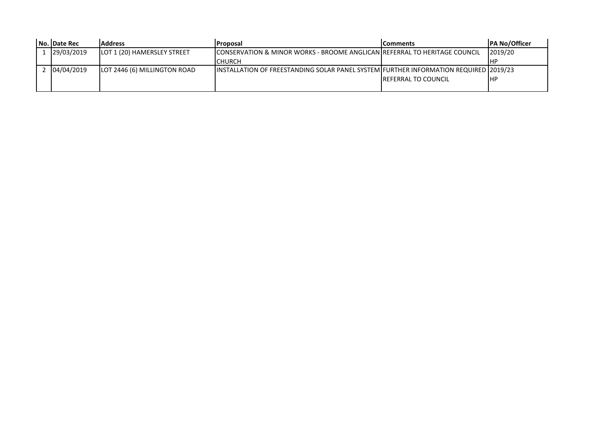|  | No.   Date Rec | <b>Address</b>               | <b>Proposal</b>                                                                       | lComments                   | <b>PA No/Officer</b> |
|--|----------------|------------------------------|---------------------------------------------------------------------------------------|-----------------------------|----------------------|
|  | 29/03/2019     | LOT 1 (20) HAMERSLEY STREET  | ICONSERVATION & MINOR WORKS - BROOME ANGLICAN IREFERRAL TO HERITAGE COUNCIL           |                             | 2019/20              |
|  |                |                              | <b>CHURCH</b>                                                                         |                             | IHF                  |
|  | 04/04/2019     | LOT 2446 (6) MILLINGTON ROAD | IINSTALLATION OF FREESTANDING SOLAR PANEL SYSTEM FURTHER INFORMATION REQUIRED 2019/23 |                             |                      |
|  |                |                              |                                                                                       | <b>IREFERRAL TO COUNCIL</b> | IHP                  |
|  |                |                              |                                                                                       |                             |                      |